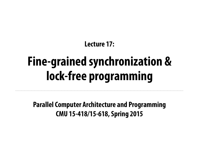### **Parallel Computer Architecture and Programming CMU 15-418/15-618, Spring 2015**

### **Lecture 17:**

# **Fine-grained synchronization & lock-free programming**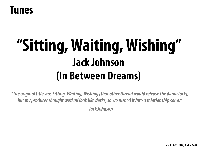# **"Sitting, Waiting, Wishing" Jack Johnson (In Between Dreams)**

## **Tunes**

*"The original title was Sitting, Waiting, Wishing [that other thread would release the damn lock], but my producer thought we'd all look like dorks, so we turned it into a relationship song."* 

*- Jack Johnson*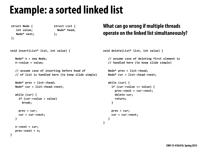## **Example: a sorted linked list**

```
struct Node {
   int value;
   Node* next;
};
                          struct List {
                            Node* head;
                          };
void insert(List* list, int value) {
   Node* n = new Node;n->value = value;
   // assume case of inserting before head of
   // of list is handled here (to keep slide simple)
   Node* prev = list->head;
   Node* cur = list->head->next;
   while (cur) {
     if (cur->value > value)
       break;
     prev = cur;
     cur = cur->next;
   			}	
   n->next = cur;
   prev\text{-}next = n;}
                                                        void delete(List* list, int value) {
                                                            // assume case of deleting first element is
                                                            // handled here (to keep slide simple)
                                                            Node* prev = list->head;
                                                            Node* cur = list->head->next;
                                                            while (cur) {
                                                              if (cur->value == value) {
                                                                prev->next = cur->next;
                                                                delete cur;
                                                                return;
                                                              					}	
                                                              prev = cur;
                                                              cur = cur->next;
                                                            			}	
                                                         }
                                                         What can go wrong if multiple threads 
                                                         operate on the linked list simultaneously?
```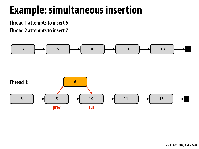## **Example: simultaneous insertion**

**Thread 1 attempts to insert 6** 

**Thread 2 attempts to insert 7**

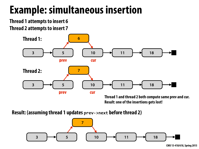## **Example: simultaneous insertion**

**Thread 1 attempts to insert 6 Thread 2 attempts to insert 7**



**Thread 1 and thread 2 both compute same prev and cur. Result: one of the insertions gets lost!** 

**Result: (assuming thread 1 updates prev->next before thread 2)** 

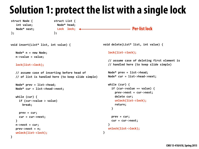## **Solution 1: protect the list with a single lock**

```
void insert(List* list, int value) {
   Node* n = new Node;n->value = value;
   			lock(list->lock);
   // assume case of inserting before head of
   // of list is handled here (to keep slide simple)
   Node* prev = list->head;
   Node* cur = list->head->next;
  while (cur) {
     if (cur->value > value)
       break;
     prev = cur;
     cur = cur->next;
			}
   n->next = cur;
   prev\text{-}next = n;			unlock(list->lock);
                                                          void delete(List* list, int value) {
                                                              			lock(list->lock);	
                                                              // assume case of deleting first element is
                                                              // handled here (to keep slide simple)
                                                              Node* prev = list->head;
                                                              Node* cur = list->head->next;
                                                              while (cur) {
                                                                if (cur->value == value) {
                                                                  prev->next = cur->next;
                                                                  delete cur;
                                                                  							unlock(list->lock);
                                                                  return;
                                                                					}	
                                                                prev = cur;
                                                                cur = cur->next;
                                                           b \}			unlock(list->lock);
                                                           }
```

```
struct Node {
   int value;
  Node* next;
};
```

```
}
```

```
struct List {
 Node* head;
  Lock lock; \leftarrow};
```
### **Per-list lock**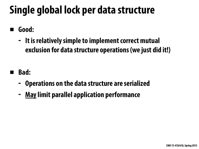# **Single global lock per data structure**

- **▪ Good:** 
	- **- It is relatively simple to implement correct mutual exclusion for data structure operations (we just did it!)**
- **▪ Bad:** 
	- **- Operations on the data structure are serialized**
	- **- May limit parallel application performance**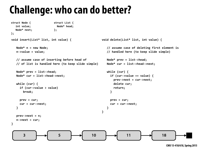

 **CMU 15-418/618, Spring 2015**

## **Challenge: who can do better?**



```
struct Node {
  int value;
  Node* next;
};
                          struct List {
                            Node* head;
                          };
void insert(List* list, int value) {
   Node* n = new Node;n->value = value;
   // assume case of inserting before head of
   // of list is handled here (to keep slide simple)
   Node* prev = list->head;
   Node* cur = list->head->next;
   while (cur) {
     if (cur->value > value)
       break;
     prev = cur;
     cur = cur->next;
   			}	
   prev\text{-}next = n;n->next = cur;
}
                                                        void delete(List* list, int value) {
                                                            // assume case of deleting first element is
                                                            // handled here (to keep slide simple)
                                                            Node* prev = list->head;
                                                            Node* cur = list->head->next;
                                                            while (cur) {
                                                              if (cur->value == value) {
                                                                prev->next = cur->next;
                                                                delete cur;
                                                                return;
                                                              }
                                                              prev = cur;
                                                              cur = cur->next;
                                                            			}	
                                                         }
```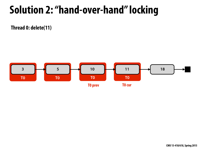## **Solution 2: "hand-over-hand" locking**



**Thread 0: delete(11)**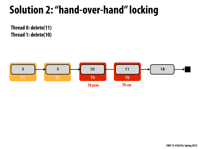

**Thread 0: delete(11) Thread 1: delete(10)**

## **Solution 2: "hand-over-hand" locking**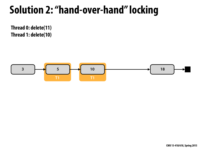



**Thread 0: delete(11) Thread 1: delete(10)**

## **Solution 2: "hand-over-hand" locking**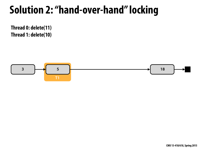

**Thread 0: delete(11) Thread 1: delete(10)**

## **Solution 2: "hand-over-hand" locking**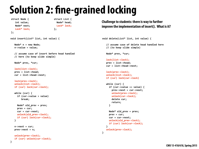## **Solution 2: fne-grained locking**

```
struct Node {
   int value;
   Node* next;
   Lock* lock;
};
                                 struct List {
                                   Node* head;
                                   	Lock*	lock;
                                 };
void insert(List* list, int value) {
   Node* n = new Node;n->value = value;
   // assume case of insert before head handled
   // here (to keep slide simple)
   Node* prev, *cur;
   			lock(list->lock);
   prev = list->head;
   cur = list->head->next;
   lock(prev->lock);
   unlock(list->lock);
   if (cur) lock(cur->lock);
   while (cur) {
     if (cur->value > value)
        break;
     Node* old_prev = prev;
     prev = cur;
     cur = cur->next;
     unlock(old_prev->lock);
     					if	(cur)	lock(cur->lock);
   			}	
   n->next = cur;
   prev\text{-}next = n;unlock(prev->lock);
   if (cur) unlock(cur->lock);
```

```
void delete(List* list, int value) {
   // assume case of delete head handled here
   // (to keep slide simple)
   Node* prev, *cur;
   			lock(list->lock);
   prev = list->head;
   cur = list->head->next;
   lock(prev->lock);
   unlock(list->lock);
   if (cur) lock(cur->lock)
   while (cur) {
     if (cur->value == value) {
       prev->next = cur->next;
       unlock(prev->lock);
       unlock(cur->lock);
       delete cur;
       return;
     }
     Node* old prev = prev;
     prev = cur;
     cur = cur->next;
     unlock(old\_prev-<sub></sub>lock);if (cur) lock(cur->lock);
b \}unlock(prev->lock);
}
```


**}**

### **Challenge to students: there is way to further improve the implementation of insert(). What is it?**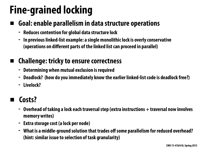# **Fine-grained locking**

## **▪ Goal: enable parallelism in data structure operations**

- **- Reduces contention for global data structure lock**
- **- In previous linked-list example: a single monolithic lock is overly conservative (operations on different parts of the linked list can proceed in parallel)**

## **▪ Challenge: tricky to ensure correctness**

- **- Determining when mutual exclusion is required**
- **- Deadlock? (how do you immediately know the earlier linked-list code is deadlock free?)**
- **- Livelock?**

## **▪ Costs?**

- **- Overhead of taking a lock each traversal step (extra instructions + traversal now involves memory writes)**
- **- Extra storage cost (a lock per node)**
- **- What is a middle-ground solution that trades off some parallelism for reduced overhead? (hint: similar issue to selection of task granularity)**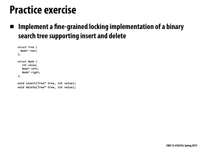## **Practice exercise**

### **▪ Implement a fne-grained locking implementation of a binary search tree supporting insert and delete**

```
struct Tree {
 Node* root;
};	
struct Node {
   int value;
  Node* left;
  Node* right;
};	
void insert(Tree* tree, int value);
void delete(Tree* tree, int value);
```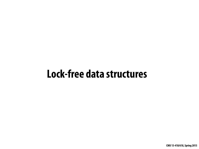## **Lock-free data structures**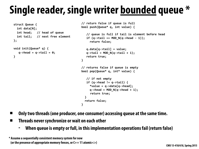# **Single reader, single writer bounded queue \***

```
struct Queue {
 int data[N];
 int head; // head of queue
 int tail; // next free element
};	
void	init(Queue*	q)	{
```

```
q->head = q->tail = \theta;
}
```

```
//	return	false	if	queue	is	full	
bool push(Queue* q, int value) {
   // queue is full if tail is element before head
   if (q-)tail == MOD_N(q-)head - 1);
     return false;
   q.data[q->tail] = value;
   q->tail = MOD_N(q->tail + 1);
   return true;
}	
//	returns	false	if	queue	is	empty	
bool pop(Queue* q, int* value) {
   // if not empty
   if (q-)head != q-}tail) {
     *value = q->data[q->head];
     q->head = MOD_N(q->head + 1);
     return true;
  }
  return false;
```
**}**

- **▪ Only two threads (one producer, one consumer) accessing queue at the same time.**
- **▪ Threads never synchronize or wait on each other** 
	- **- When queue is empty or full, in this implementation operations fail (return false)**

**\* Assume a sequentially consistent memory system for now (or the presence of appropriate memory fences, or C++ 11 atomic<>)**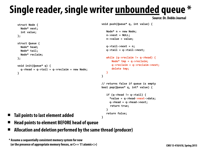```
struct Node {
    Node* next;
    int value;
 };	
 struct Queue {
    Node* head;
    Node* tail;
    Node* reclaim;
 };	
 void	init(Queue*	q)	{	
    q->head = q->tail = q->reclaim = new Node;
  }
                                                         void push(Queue* q, int value) {
                                                            Node* n = new Node;
                                                            n\rightarrownext = NULL;
                                                            n->value = value;
                                                            			q->tail->next	=	n;	
                                                            			q->tail	=	q->tail->next;	
                                                            while (q->reclaim != q->head) {
                                                                Node* tmp = q->reclaim;
                                                                				q->reclaim	=	q->reclaim->next;	
                                                                delete tmp;
                                                            			}	
                                                         }	
                                                         //	returns	false	if	queue	is	empty	
                                                         bool pop(Queue* q, int* value) {
                                                            if (q-)head != q->tail) {
                                                              *value = q->head->next->data;
                                                              q->head = q->head->next;
                                                               return true;
                                                            			}	
Tail points to last element added Example 10 Return false;
▪ Head points to element BEFORE head of queue
```
### **Single reader, single writer unbounded queue \* Source: Dr. Dobbs Journal**

**▪ Allocation and deletion performed by the same thread (producer)**

**\* Assume a sequentially consistent memory system for now (or the presence of appropriate memory fences, or C++ 11 atomic<>)**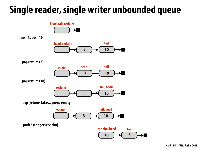## **Single reader, single writer unbounded queue**

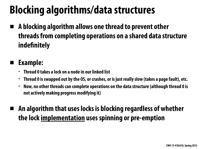# **Blocking algorithms/data structures**

**▪ A blocking algorithm allows one thread to prevent other threads from completing operations on a shared data structure indefnitely** 

## **▪ Example:**

- **- Thread 0 takes a lock on a node in our linked list**
- **- Thread 0 is swapped out by the OS, or crashes, or is just really slow (takes a page fault), etc.**
- **- Now, no other threads can complete operations on the data structure (although thread 0 is not actively making progress modifying it)**

## **▪ An algorithm that uses locks is blocking regardless of whether the lock implementation uses spinning or pre-emption**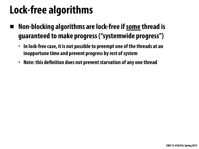## **Lock-free algorithms**

- **▪ Non-blocking algorithms are lock-free if some thread is guaranteed to make progress ("systemwide progress")** 
	- **- In lock-free case, it is not possible to preempt one of the threads at an inopportune time and prevent progress by rest of system**
	- **- Note: this defnition does not prevent starvation of any one thread**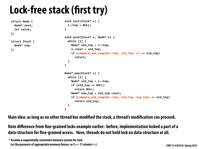## **Lock-free stack (frst try)**

```
struct Node {
 Node* next;
 int value;
};
```
struct Stack { Node\* top; **};** 

```
void	init(Stack*	s)	{	
  s - \gt top = NULL;}
```

```
void	push(Stack*	s,	Node*	n)	{	
  while (1) {
    Node* old_top = s->top;
    n->next = old_top;
    if (compare_and_swap(&s->top, old_top, n) == old_top)
      return;
  		}
```

```
Node* pop(Stack* s) {
  while (1) {
    Node* old_top = s->top;
    if (old_to p == NULL)return NULL;
    Node* new_top = old_top->next;
    if (compare_and_swap(&s->top, old_top, new_top) == old_top)
      return old_top;
  		}	
}
```

```
}
```
**Main idea: as long as no other thread has modifed the stack, a thread's modifcation can proceed.** 

### **Note difference from fne-grained locks example earlier: before, implementation locked a part of a data-structure for fne-grained access. Here, threads do not hold lock on data-structure at all.**

**\* Assume a sequentially consistent memory system for now (or the presence of appropriate memory fences, or C++ 11 atomic<>)**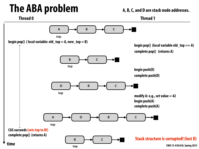## **The ABA problem**

**modify A: e.g., set value**  $= 42$ **begin push(A) complete push(A)** 

**begin pop() (local variable old\_top == A) complete pop() (returns A)**



### **Thread 0 Thread 1 A, B, C, and D are stack node addresses.**

**begin push(D) complete push(D)**

**Stack structure is corrupted! (lost D)**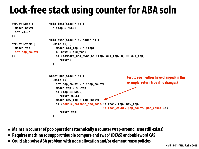## **Lock-free stack using counter for ABA soln**

```
struct Node {
  Node* next;
  int value;
};	
struct Stack {
 Node* top;
  int pop_count;
};	
                         }	
                           		}	
                         }
```

```
void	init(Stack*	s)	{	
  s->top = NULL;void	push(Stack*	s,	Node*	n)	{	
  while (1) {
    Node* old_top = s->top;
    n->next = old_top;
    if (compare_and_swap(&s->top, old_top, n) == old_top)
      return;
Node* pop(Stack* s) {
  while (1) {
    int pop_count = s->pop_count;
    Node* top = s->top;
    if (top == NULL)return NULL;
    Node* new_top = top->next;
    if (double_compare_and_swap(&s->top, top, new_top,
      return top;
  		}	
}
```
■ Maintain counter of pop operations (technically a counter wrap-around issue still exists)

**▪ Requires machine to support "double compare and swap" (DCAS) or doubleword CAS** 

■ **Could also solve ABA problem with node allocation and/or element reuse policies** 

**test to see if either have changed (in this example: return true if no changes)**

&s->pop\_count, pop\_count, pop\_count+1))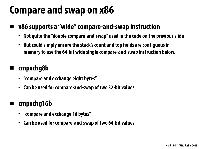## **Compare and swap on x86**

### **▪ x86 supports a "wide" compare-and-swap instruction**

- **- Not quite the "double compare-and-swap" used in the code on the previous slide**
- **- But could simply ensure the stack's count and top felds are contiguous in memory to use the 64-bit wide single compare-and-swap instruction below.**

### **▪ cmpxchg8b**

- **- "compare and exchange eight bytes"**
- **- Can be used for compare-and-swap of two 32-bit values**

## **▪ cmpxchg16b**

- **- "compare and exchange 16 bytes"**
- **- Can be used for compare-and-swap of two 64-bit values**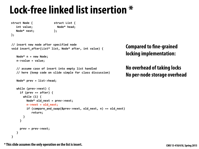## **Lock-free linked list insertion \***

```
struct Node {
   int value;
  Node* next;
};
                          struct List {
                            Node* head;
                          };
//	insert	new	node	after	specified	node	
void insert_after(List* list, Node* after, int value) {
   Node* n = new Node;n->value = value;
   // assume case of insert into empty list handled
   // here (keep code on slide simple for class discussion)
   Node* prev = list->head;
   while (prev->next) {
     if (prev == after) { }while (1) {
         Node* old_next = prev->next;
         n->next = old\_next;
         if (compare_and_swap(&prev->next, old_next, n) == old_next)
            return;
       }
b and \}prev = prev->next;
b \}}
```
### **Compared to fne-grained locking implementation:**

### **No overhead of taking locks No per-node storage overhead**

**\* This slide assumes the only operation on the list is insert.**

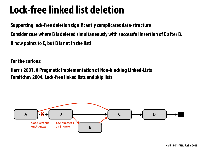# **Lock-free linked list deletion**

**Supporting lock-free deletion signifcantly complicates data-structure Consider case where B is deleted simultaneously with successful insertion of E after B. B now points to E, but B is not in the list!** 

**For the curious:** 

**Harris 2001. A Pragmatic Implementation of Non-blocking Linked-Lists Fomitchev 2004.Lock-free linked lists and skip lists** 

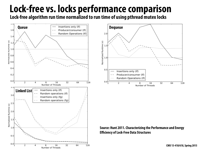## **Lock-free vs. locks performance comparison Lock-free algorithm run time normalized to run time of using pthread mutex locks**

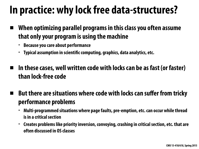# **In practice: why lock free data-structures?**

- **▪ When optimizing parallel programs in this class you often assume that only your program is using the machine** 
	- **- Because you care about performance**
	- **- Typical assumption in scientifc computing, graphics, data analytics, etc.**
- In these cases, well written code with locks can be as fast (or faster) **than lock-free code** 
	- **But there are situations where code with locks can suffer from tricky performance problems** 
		- **- Multi-programmed situations where page faults, pre-emption, etc. can occur while thread is in a critical section**
		- **- Creates problems like priority inversion, convoying, crashing in critical section, etc. that are often discussed in OS classes**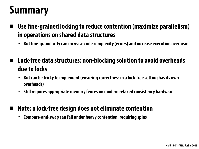## **Summary**

- **Use fine-grained locking to reduce contention (maximize parallelism) in operations on shared data structures** 
	- **- But fne-granularity can increase code complexity (errors) and increase execution overhead**
- **▪ Lock-free data structures: non-blocking solution to avoid overheads due to locks** 
	- **- But can be tricky to implement (ensuring correctness in a lock-free setting has its own overheads)**
	- **- Still requires appropriate memory fences on modern relaxed consistency hardware**
- **▪ Note: a lock-free design does not eliminate contention** 
	- **- Compare-and-swap can fail under heavy contention, requiring spins**